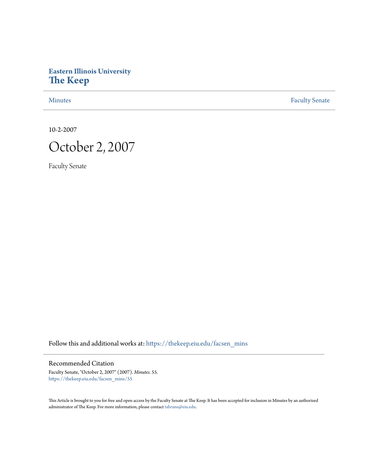# **Eastern Illinois University [The Keep](https://thekeep.eiu.edu?utm_source=thekeep.eiu.edu%2Ffacsen_mins%2F55&utm_medium=PDF&utm_campaign=PDFCoverPages)**

[Minutes](https://thekeep.eiu.edu/facsen_mins?utm_source=thekeep.eiu.edu%2Ffacsen_mins%2F55&utm_medium=PDF&utm_campaign=PDFCoverPages) **[Faculty Senate](https://thekeep.eiu.edu/fac_senate?utm_source=thekeep.eiu.edu%2Ffacsen_mins%2F55&utm_medium=PDF&utm_campaign=PDFCoverPages)** 

10-2-2007



Faculty Senate

Follow this and additional works at: [https://thekeep.eiu.edu/facsen\\_mins](https://thekeep.eiu.edu/facsen_mins?utm_source=thekeep.eiu.edu%2Ffacsen_mins%2F55&utm_medium=PDF&utm_campaign=PDFCoverPages)

Recommended Citation

Faculty Senate, "October 2, 2007" (2007). *Minutes*. 55. [https://thekeep.eiu.edu/facsen\\_mins/55](https://thekeep.eiu.edu/facsen_mins/55?utm_source=thekeep.eiu.edu%2Ffacsen_mins%2F55&utm_medium=PDF&utm_campaign=PDFCoverPages)

This Article is brought to you for free and open access by the Faculty Senate at The Keep. It has been accepted for inclusion in Minutes by an authorized administrator of The Keep. For more information, please contact [tabruns@eiu.edu.](mailto:tabruns@eiu.edu)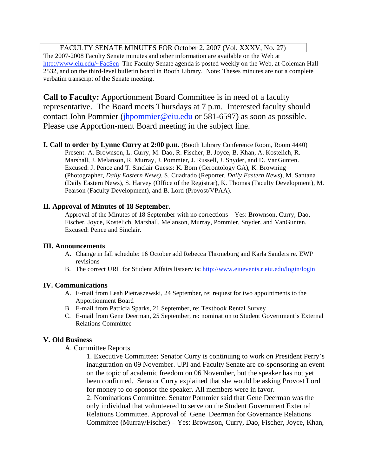## FACULTY SENATE MINUTES FOR October 2, 2007 (Vol. XXXV, No. 27)

The 2007-2008 Faculty Senate minutes and other information are available on the Web at http://www.eiu.edu/~FacSen The Faculty Senate agenda is posted weekly on the Web, at Coleman Hall 2532, and on the third-level bulletin board in Booth Library. Note: Theses minutes are not a complete verbatim transcript of the Senate meeting.

**Call to Faculty:** Apportionment Board Committee is in need of a faculty representative. The Board meets Thursdays at 7 p.m. Interested faculty should contact John Pommier (jhpommier@eiu.edu or 581-6597) as soon as possible. Please use Apportion-ment Board meeting in the subject line.

**I. Call to order by Lynne Curry at 2:00 p.m.** (Booth Library Conference Room, Room 4440) Present: A. Brownson, L. Curry, M. Dao, R. Fischer, B. Joyce, B. Khan, A. Kostelich, R. Marshall, J. Melanson, R. Murray, J. Pommier, J. Russell, J. Snyder, and D. VanGunten. Excused: J. Pence and T. Sinclair Guests: K. Born (Gerontology GA), K. Browning (Photographer, *Daily Eastern News)*, S. Cuadrado (Reporter, *Daily Eastern News*), M. Santana (Daily Eastern News), S. Harvey (Office of the Registrar), K. Thomas (Faculty Development), M. Pearson (Faculty Development), and B. Lord (Provost/VPAA).

### **II. Approval of Minutes of 18 September.**

Approval of the Minutes of 18 September with no corrections – Yes: Brownson, Curry, Dao, Fischer, Joyce, Kostelich, Marshall, Melanson, Murray, Pommier, Snyder, and VanGunten. Excused: Pence and Sinclair.

#### **III. Announcements**

- A. Change in fall schedule: 16 October add Rebecca Throneburg and Karla Sanders re. EWP revisions
- B. The correct URL for Student Affairs listserv is: http://www.eiuevents.r.eiu.edu/login/login

## **IV. Communications**

- A. E-mail from Leah Pietraszewski, 24 September, re: request for two appointments to the Apportionment Board
- B. E-mail from Patricia Sparks, 21 September, re: Textbook Rental Survey
- C. E-mail from Gene Deerman, 25 September, re: nomination to Student Government's External Relations Committee

#### **V. Old Business**

A. Committee Reports

1. Executive Committee: Senator Curry is continuing to work on President Perry's inauguration on 09 November. UPI and Faculty Senate are co-sponsoring an event on the topic of academic freedom on 06 November, but the speaker has not yet been confirmed. Senator Curry explained that she would be asking Provost Lord for money to co-sponsor the speaker. All members were in favor.

2. Nominations Committee: Senator Pommier said that Gene Deerman was the only individual that volunteered to serve on the Student Government External Relations Committee. Approval of Gene Deerman for Governance Relations Committee (Murray/Fischer) – Yes: Brownson, Curry, Dao, Fischer, Joyce, Khan,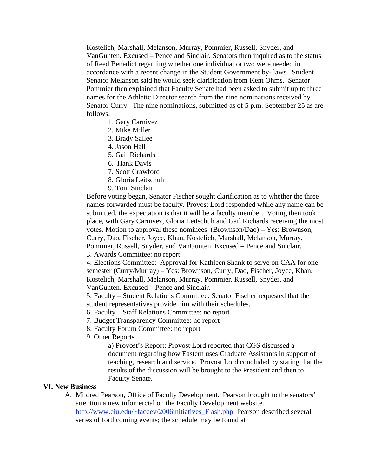Kostelich, Marshall, Melanson, Murray, Pommier, Russell, Snyder, and VanGunten. Excused – Pence and Sinclair. Senators then inquired as to the status of Reed Benedict regarding whether one individual or two were needed in accordance with a recent change in the Student Government by- laws. Student Senator Melanson said he would seek clarification from Kent Ohms. Senator Pommier then explained that Faculty Senate had been asked to submit up to three names for the Athletic Director search from the nine nominations received by Senator Curry. The nine nominations, submitted as of 5 p.m. September 25 as are follows:

- 1. Gary Carnivez
- 2. Mike Miller
- 3. Brady Sallee
- 4. Jason Hall
- 5. Gail Richards
- 6. Hank Davis
- 7. Scott Crawford
- 8. Gloria Leitschuh
- 9. Tom Sinclair

Before voting began, Senator Fischer sought clarification as to whether the three names forwarded must be faculty. Provost Lord responded while any name can be submitted, the expectation is that it will be a faculty member. Voting then took place, with Gary Carnivez, Gloria Leitschuh and Gail Richards receiving the most votes. Motion to approval these nominees (Brownson/Dao) – Yes: Brownson, Curry, Dao, Fischer, Joyce, Khan, Kostelich, Marshall, Melanson, Murray, Pommier, Russell, Snyder, and VanGunten. Excused – Pence and Sinclair. 3. Awards Committee: no report

4. Elections Committee: Approval for Kathleen Shank to serve on CAA for one semester (Curry/Murray) – Yes: Brownson, Curry, Dao, Fischer, Joyce, Khan, Kostelich, Marshall, Melanson, Murray, Pommier, Russell, Snyder, and VanGunten. Excused – Pence and Sinclair.

5. Faculty – Student Relations Committee: Senator Fischer requested that the student representatives provide him with their schedules.

6. Faculty – Staff Relations Committee: no report

- 7. Budget Transparency Committee: no report
- 8. Faculty Forum Committee: no report
- 9. Other Reports

a) Provost's Report: Provost Lord reported that CGS discussed a document regarding how Eastern uses Graduate Assistants in support of teaching, research and service. Provost Lord concluded by stating that the results of the discussion will be brought to the President and then to Faculty Senate.

#### **VI. New Business**

A. Mildred Pearson, Office of Faculty Development. Pearson brought to the senators' attention a new infomercial on the Faculty Development website. http://www.eiu.edu/~facdev/2006initiatives\_Flash.php Pearson described several series of forthcoming events; the schedule may be found at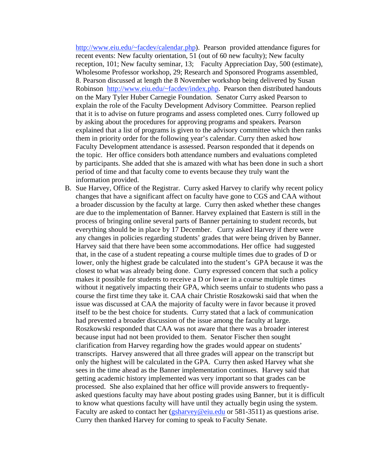http://www.eiu.edu/~facdev/calendar.php). Pearson provided attendance figures for recent events: New faculty orientation, 51 (out of 60 new faculty); New faculty reception, 101; New faculty seminar, 13; Faculty Appreciation Day, 500 (estimate), Wholesome Professor workshop, 29; Research and Sponsored Programs assembled, 8. Pearson discussed at length the 8 November workshop being delivered by Susan Robinson http://www.eiu.edu/~facdev/index.php. Pearson then distributed handouts on the Mary Tyler Huber Carnegie Foundation. Senator Curry asked Pearson to explain the role of the Faculty Development Advisory Committee. Pearson replied that it is to advise on future programs and assess completed ones. Curry followed up by asking about the procedures for approving programs and speakers. Pearson explained that a list of programs is given to the advisory committee which then ranks them in priority order for the following year's calendar. Curry then asked how Faculty Development attendance is assessed. Pearson responded that it depends on the topic. Her office considers both attendance numbers and evaluations completed by participants. She added that she is amazed with what has been done in such a short period of time and that faculty come to events because they truly want the information provided.

B. Sue Harvey, Office of the Registrar. Curry asked Harvey to clarify why recent policy changes that have a significant affect on faculty have gone to CGS and CAA without a broader discussion by the faculty at large. Curry then asked whether these changes are due to the implementation of Banner. Harvey explained that Eastern is still in the process of bringing online several parts of Banner pertaining to student records, but everything should be in place by 17 December. Curry asked Harvey if there were any changes in policies regarding students' grades that were being driven by Banner. Harvey said that there have been some accommodations. Her office had suggested that, in the case of a student repeating a course multiple times due to grades of D or lower, only the highest grade be calculated into the student's GPA because it was the closest to what was already being done. Curry expressed concern that such a policy makes it possible for students to receive a D or lower in a course multiple times without it negatively impacting their GPA, which seems unfair to students who pass a course the first time they take it. CAA chair Christie Roszkowski said that when the issue was discussed at CAA the majority of faculty were in favor because it proved itself to be the best choice for students. Curry stated that a lack of communication had prevented a broader discussion of the issue among the faculty at large. Roszkowski responded that CAA was not aware that there was a broader interest because input had not been provided to them. Senator Fischer then sought clarification from Harvey regarding how the grades would appear on students' transcripts. Harvey answered that all three grades will appear on the transcript but only the highest will be calculated in the GPA. Curry then asked Harvey what she sees in the time ahead as the Banner implementation continues. Harvey said that getting academic history implemented was very important so that grades can be processed. She also explained that her office will provide answers to frequentlyasked questions faculty may have about posting grades using Banner, but it is difficult to know what questions faculty will have until they actually begin using the system. Faculty are asked to contact her  $(gsharvey@eiu.edu$  or 581-3511) as questions arise. Curry then thanked Harvey for coming to speak to Faculty Senate.